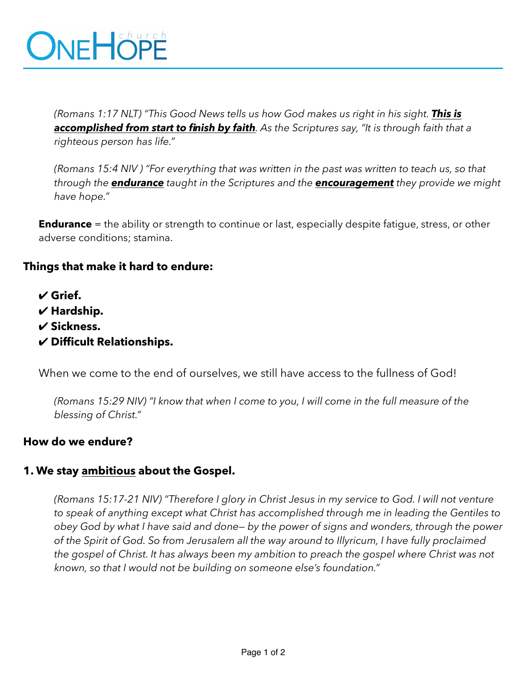# ONEHÖPE

*(Romans 1:17 NLT) "This Good News tells us how God makes us right in his sight. This is accomplished from start to finish by faith. As the Scriptures say, "It is through faith that a righteous person has life."* 

*(Romans 15:4 NIV ) "For everything that was written in the past was written to teach us, so that through the endurance taught in the Scriptures and the encouragement they provide we might have hope."* 

**Endurance** = the ability or strength to continue or last, especially despite fatigue, stress, or other adverse conditions; stamina.

### **Things that make it hard to endure:**

- ✔ **Grief.**
- ✔ **Hardship.**
- ✔ **Sickness.**
- ✔ **Difficult Relationships.**

When we come to the end of ourselves, we still have access to the fullness of God!

*(Romans 15:29 NIV) "I know that when I come to you, I will come in the full measure of the blessing of Christ."* 

### **How do we endure?**

### **1. We stay ambitious about the Gospel.**

*(Romans 15:17-21 NIV) "Therefore I glory in Christ Jesus in my service to God. I will not venture to speak of anything except what Christ has accomplished through me in leading the Gentiles to obey God by what I have said and done— by the power of signs and wonders, through the power of the Spirit of God. So from Jerusalem all the way around to Illyricum, I have fully proclaimed the gospel of Christ. It has always been my ambition to preach the gospel where Christ was not known, so that I would not be building on someone else's foundation."*